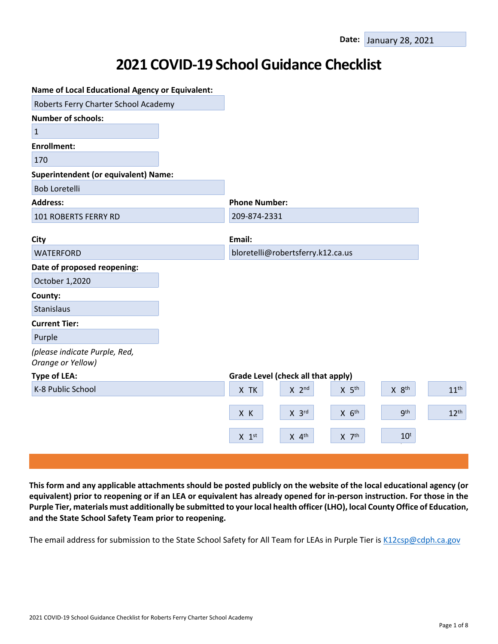# **2021 COVID-19 School Guidance Checklist**

| <b>Name of Local Educational Agency or Equivalent:</b> |                                                                       |                  |
|--------------------------------------------------------|-----------------------------------------------------------------------|------------------|
| Roberts Ferry Charter School Academy                   |                                                                       |                  |
| <b>Number of schools:</b>                              |                                                                       |                  |
| $\mathbf{1}$                                           |                                                                       |                  |
| <b>Enrollment:</b>                                     |                                                                       |                  |
| 170                                                    |                                                                       |                  |
| <b>Superintendent (or equivalent) Name:</b>            |                                                                       |                  |
| <b>Bob Loretelli</b>                                   |                                                                       |                  |
| <b>Address:</b>                                        | <b>Phone Number:</b>                                                  |                  |
| 101 ROBERTS FERRY RD                                   | 209-874-2331                                                          |                  |
|                                                        |                                                                       |                  |
| <b>City</b>                                            | Email:                                                                |                  |
| <b>WATERFORD</b>                                       | bloretelli@robertsferry.k12.ca.us                                     |                  |
| Date of proposed reopening:                            |                                                                       |                  |
| October 1,2020                                         |                                                                       |                  |
| County:                                                |                                                                       |                  |
| Stanislaus                                             |                                                                       |                  |
| <b>Current Tier:</b>                                   |                                                                       |                  |
| Purple                                                 |                                                                       |                  |
| (please indicate Purple, Red,<br>Orange or Yellow)     |                                                                       |                  |
| <b>Type of LEA:</b>                                    | Grade Level (check all that apply)                                    |                  |
| K-8 Public School                                      | X 8 <sup>th</sup><br>X TK<br>$X$ 2 <sup>nd</sup><br>X 5 <sup>th</sup> | 11 <sup>th</sup> |
|                                                        | <b>gth</b><br>$X$ $6th$<br>$X$ 3rd<br>X K                             | 12 <sup>th</sup> |
|                                                        | $X$ 4 <sup>th</sup><br>$10^t$<br>$X$ $7th$<br>$X$ 1st                 |                  |
|                                                        |                                                                       |                  |

This form and any applicable attachments should be posted publicly on the website of the local educational agency (or equivalent) prior to reopening or if an LEA or equivalent has already opened for in-person instruction. For those in the Purple Tier, materials must additionally be submitted to your local health officer (LHO), local County Office of Education, **and the State School Safety Team prior to reopening.**

The email address for submission to the State School Safety for All Team for LEAs in Purple Tier is [K12csp@cdph.ca.gov](mailto:K12csp@cdph.ca.gov)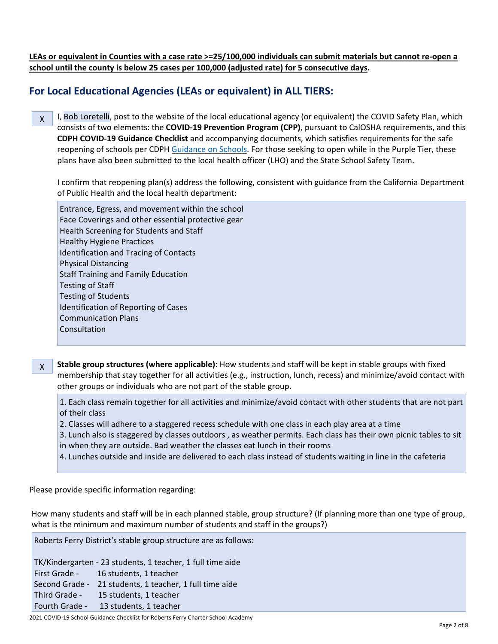LEAs or equivalent in Counties with a case rate >=25/100,000 individuals can submit materials but cannot re-open a **school until the county is below 25 cases per 100,000 (adjusted rate) for 5 consecutive days.**

## **For Local Educational Agencies (LEAs or equivalent) in ALL TIERS:**

X I, Bob Loretelli, post to the website of the local educational agency (or equivalent) the COVID Safety Plan, which consists of two elements: the **COVID-19 Prevention Program (CPP)**, pursuant to CalOSHA requirements, and this **CDPH COVID-19 Guidance Checklist** and accompanying documents, which satisfies requirements for the safe reopening of schools per CDPH [Guidance](https://www.cdph.ca.gov/Programs/CID/DCDC/CDPH%20Document%20Library/COVID-19/Consolidated_Schools_Guidance.pdf) on Schools. For those seeking to open while in the Purple Tier, these plans have also been submitted to the local health officer (LHO) and the State School Safety Team.

I confirm that reopening plan(s) address the following, consistent with guidance from the California Department of Public Health and the local health department:

Entrance, Egress, and movement within the school Face Coverings and other essential protective gear Health Screening for Students and Staff Healthy Hygiene Practices Identification and Tracing of Contacts Physical Distancing Staff Training and Family Education Testing of Staff Testing of Students Identification of Reporting of Cases Communication Plans Consultation

X **Stable group structures (where applicable)**: How students and staff will be kept in stable groups with fixed membership that stay together for all activities (e.g., instruction, lunch, recess) and minimize/avoid contact with other groups or individuals who are not part of the stable group.

1. Each class remain together for all activities and minimize/avoid contact with other students that are not part of their class

- 2. Classes will adhere to a staggered recess schedule with one class in each play area at a time
- 3. Lunch also is staggered by classes outdoors , as weather permits. Each class has their own picnic tables to sit in when they are outside. Bad weather the classes eat lunch in their rooms
- 4. Lunches outside and inside are delivered to each class instead of students waiting in line in the cafeteria

Please provide specific information regarding:

How many students and staff will be in each planned stable, group structure? (If planning more than one type of group, what is the minimum and maximum number of students and staff in the groups?)

Roberts Ferry District's stable group structure are as follows:

TK/Kindergarten - 23 students, 1 teacher, 1 full time aide First Grade - 16 students, 1 teacher Second Grade - 21 students, 1 teacher, 1 full time aide Third Grade - 15 students, 1 teacher Fourth Grade - 13 students, 1 teacher

2021 COVID-19 School Guidance Checklist for Roberts Ferry Charter School Academy Page 2 of 8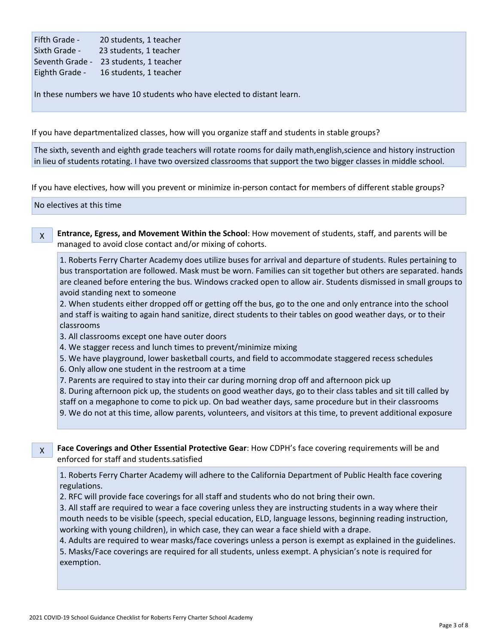| Fifth Grade -   | 20 students, 1 teacher |
|-----------------|------------------------|
| Sixth Grade -   | 23 students, 1 teacher |
| Seventh Grade - | 23 students, 1 teacher |
| Eighth Grade -  | 16 students, 1 teacher |

In these numbers we have 10 students who have elected to distant learn.

If you have departmentalized classes, how will you organize staff and students in stable groups?

The sixth, seventh and eighth grade teachers will rotate rooms for daily math,english,science and history instruction in lieu of students rotating. I have two oversized classrooms that support the two bigger classes in middle school.

If you have electives, how will you prevent or minimize in-person contact for members of different stable groups?

No electives at this time-

X **Entrance, Egress, and Movement Within the School**: How movement of students, staff, and parents will be managed to avoid close contact and/or mixing of cohorts.

1. Roberts Ferry Charter Academy does utilize buses for arrival and departure of students. Rules pertaining to bus transportation are followed. Mask must be worn. Families can sit together but others are separated. hands are cleaned before entering the bus. Windows cracked open to allow air. Students dismissed in small groups to avoid standing next to someone

2. When students either dropped off or getting off the bus, go to the one and only entrance into the school and staff is waiting to again hand sanitize, direct students to their tables on good weather days, or to their classrooms

3. All classrooms except one have outer doors

4. We stagger recess and lunch times to prevent/minimize mixing

5. We have playground, lower basketball courts, and field to accommodate staggered recess schedules

6. Only allow one student in the restroom at a time

7. Parents are required to stay into their car during morning drop off and afternoon pick up

8. During afternoon pick up, the students on good weather days, go to their class tables and sit till called by staff on a megaphone to come to pick up. On bad weather days, same procedure but in their classrooms

9. We do not at this time, allow parents, volunteers, and visitors at this time, to prevent additional exposure

X

**Face Coverings and Other Essential Protective Gear**: How CDPH's face covering requirements will be and enforced for staff and students.satisfied

1. Roberts Ferry Charter Academy will adhere to the California Department of Public Health face covering regulations.

2. RFC will provide face coverings for all staff and students who do not bring their own.

3. All staff are required to wear a face covering unless they are instructing students in a way where their mouth needs to be visible (speech, special education, ELD, language lessons, beginning reading instruction, working with young children), in which case, they can wear a face shield with a drape.

4. Adults are required to wear masks/face coverings unless a person is exempt as explained in the guidelines. 5. Masks/Face coverings are required for all students, unless exempt. A physician's note is required for exemption.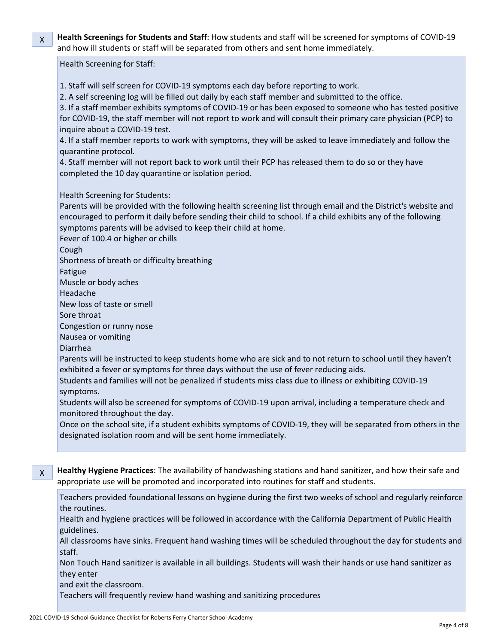X **Health Screenings for Students and Staff**: How students and staff will be screened for symptoms of COVID-19 and how ill students or staff will be separated from others and sent home immediately.

### Health Screening for Staff:

- 1. Staff will self screen for COVID-19 symptoms each day before reporting to work.
- 2. A self screening log will be filled out daily by each staff member and submitted to the office.

3. If a staff member exhibits symptoms of COVID-19 or has been exposed to someone who has tested positive for COVID-19, the staff member will not report to work and will consult their primary care physician (PCP) to inquire about a COVID-19 test.

4. If a staff member reports to work with symptoms, they will be asked to leave immediately and follow the quarantine protocol.

4. Staff member will not report back to work until their PCP has released them to do so or they have completed the 10 day quarantine or isolation period.

## Health Screening for Students:

Parents will be provided with the following health screening list through email and the District's website and encouraged to perform it daily before sending their child to school. If a child exhibits any of the following symptoms parents will be advised to keep their child at home.

Fever of 100.4 or higher or chills

Cough

Shortness of breath or difficulty breathing

Fatigue

Muscle or body aches

Headache

New loss of taste or smell

Sore throat

Congestion or runny nose

Nausea or vomiting

Diarrhea

Parents will be instructed to keep students home who are sick and to not return to school until they haven't exhibited a fever or symptoms for three days without the use of fever reducing aids.

Students and families will not be penalized if students miss class due to illness or exhibiting COVID-19 symptoms.

Students will also be screened for symptoms of COVID-19 upon arrival, including a temperature check and monitored throughout the day.

Once on the school site, if a student exhibits symptoms of COVID-19, they will be separated from others in the designated isolation room and will be sent home immediately.

X **Healthy Hygiene Practices**: The availability of handwashing stations and hand sanitizer, and how their safe and appropriate use will be promoted and incorporated into routines for staff and students.

Teachers provided foundational lessons on hygiene during the first two weeks of school and regularly reinforce the routines.

Health and hygiene practices will be followed in accordance with the California Department of Public Health guidelines.

All classrooms have sinks. Frequent hand washing times will be scheduled throughout the day for students and staff.

Non Touch Hand sanitizer is available in all buildings. Students will wash their hands or use hand sanitizer as they enter

and exit the classroom.

Teachers will frequently review hand washing and sanitizing procedures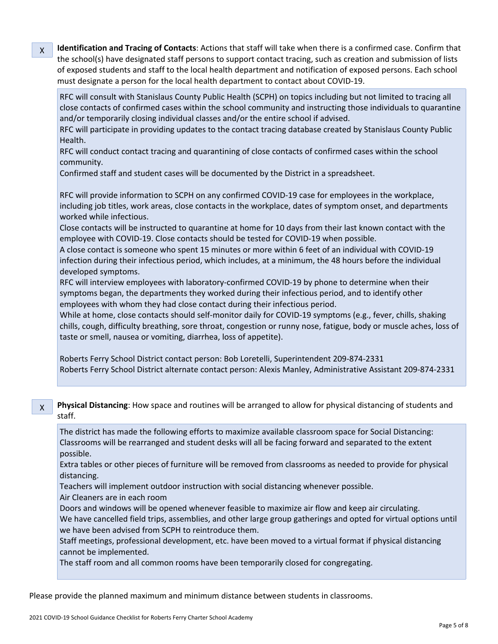**Identification and Tracing of Contacts**: Actions that staff will take when there is a confirmed case. Confirm that the school(s) have designated staff persons to support contact tracing, such as creation and submission of lists of exposed students and staff to the local health department and notification of exposed persons. Each school must designate a person for the local health department to contact about COVID-19.

RFC will consult with Stanislaus County Public Health (SCPH) on topics including but not limited to tracing all close contacts of confirmed cases within the school community and instructing those individuals to quarantine and/or temporarily closing individual classes and/or the entire school if advised.

RFC will participate in providing updates to the contact tracing database created by Stanislaus County Public Health.

RFC will conduct contact tracing and quarantining of close contacts of confirmed cases within the school community.

Confirmed staff and student cases will be documented by the District in a spreadsheet.

RFC will provide information to SCPH on any confirmed COVID-19 case for employees in the workplace, including job titles, work areas, close contacts in the workplace, dates of symptom onset, and departments worked while infectious.

Close contacts will be instructed to quarantine at home for 10 days from their last known contact with the employee with COVID-19. Close contacts should be tested for COVID-19 when possible.

A close contact is someone who spent 15 minutes or more within 6 feet of an individual with COVID-19 infection during their infectious period, which includes, at a minimum, the 48 hours before the individual developed symptoms.

RFC will interview employees with laboratory-confirmed COVID-19 by phone to determine when their symptoms began, the departments they worked during their infectious period, and to identify other employees with whom they had close contact during their infectious period.

While at home, close contacts should self-monitor daily for COVID-19 symptoms (e.g., fever, chills, shaking chills, cough, difficulty breathing, sore throat, congestion or runny nose, fatigue, body or muscle aches, loss of taste or smell, nausea or vomiting, diarrhea, loss of appetite).

Roberts Ferry School District contact person: Bob Loretelli, Superintendent 209-874-2331 Roberts Ferry School District alternate contact person: Alexis Manley, Administrative Assistant 209-874-2331

X **Physical Distancing**: How space and routines will be arranged to allow for physical distancing of students and staff.

The district has made the following efforts to maximize available classroom space for Social Distancing: Classrooms will be rearranged and student desks will all be facing forward and separated to the extent possible.

Extra tables or other pieces of furniture will be removed from classrooms as needed to provide for physical distancing.

Teachers will implement outdoor instruction with social distancing whenever possible.

Air Cleaners are in each room

X

Doors and windows will be opened whenever feasible to maximize air flow and keep air circulating. We have cancelled field trips, assemblies, and other large group gatherings and opted for virtual options until we have been advised from SCPH to reintroduce them.

Staff meetings, professional development, etc. have been moved to a virtual format if physical distancing cannot be implemented.

The staff room and all common rooms have been temporarily closed for congregating.

Please provide the planned maximum and minimum distance between students in classrooms.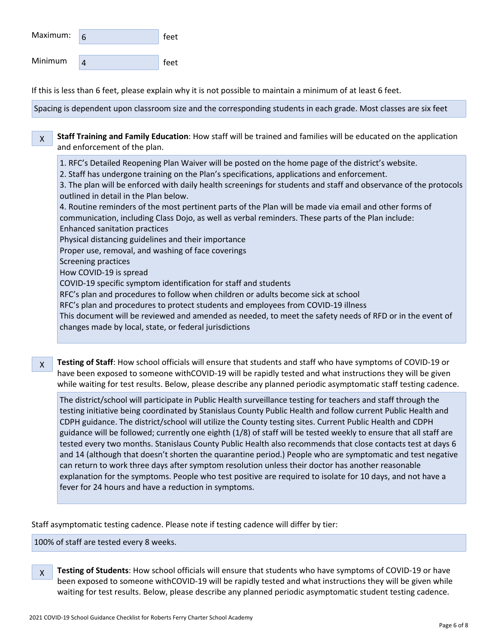| Maximum: | feet |
|----------|------|
| Minimum  | feet |

If this is less than 6 feet, please explain why it is not possible to maintain a minimum of at least 6 feet.

Spacing is dependent upon classroom size and the corresponding students in each grade. Most classes are six feet

X **Staff Training and Family Education**: How staff will be trained and families will be educated on the application and enforcement of the plan.

1. RFC's Detailed Reopening Plan Waiver will be posted on the home page of the district's website.

2. Staff has undergone training on the Plan's specifications, applications and enforcement.

3. The plan will be enforced with daily health screenings for students and staff and observance of the protocols outlined in detail in the Plan below.

4. Routine reminders of the most pertinent parts of the Plan will be made via email and other forms of communication, including Class Dojo, as well as verbal reminders. These parts of the Plan include: Enhanced sanitation practices

Physical distancing guidelines and their importance

Proper use, removal, and washing of face coverings

Screening practices

How COVID-19 is spread

COVID-19 specific symptom identification for staff and students

RFC's plan and procedures to follow when children or adults become sick at school

RFC's plan and procedures to protect students and employees from COVID-19 illness

This document will be reviewed and amended as needed, to meet the safety needs of RFD or in the event of changes made by local, state, or federal jurisdictions

X **Testing of Staff**: How school officials will ensure that students and staff who have symptoms of COVID-19 or have been exposed to someone withCOVID-19 will be rapidly tested and what instructions they will be given while waiting for test results. Below, please describe any planned periodic asymptomatic staff testing cadence.

The district/school will participate in Public Health surveillance testing for teachers and staff through the testing initiative being coordinated by Stanislaus County Public Health and follow current Public Health and CDPH guidance. The district/school will utilize the County testing sites. Current Public Health and CDPH guidance will be followed; currently one eighth (1/8) of staff will be tested weekly to ensure that all staff are tested every two months. Stanislaus County Public Health also recommends that close contacts test at days 6 and 14 (although that doesn't shorten the quarantine period.) People who are symptomatic and test negative can return to work three days after symptom resolution unless their doctor has another reasonable explanation for the symptoms. People who test positive are required to isolate for 10 days, and not have a fever for 24 hours and have a reduction in symptoms.

Staff asymptomatic testing cadence. Please note if testing cadence will differ by tier:

100% of staff are tested every 8 weeks.

X **Testing of Students**: How school officials will ensure that students who have symptoms of COVID-19 or have been exposed to someone withCOVID-19 will be rapidly tested and what instructions they will be given while waiting for test results. Below, please describe any planned periodic asymptomatic student testing cadence.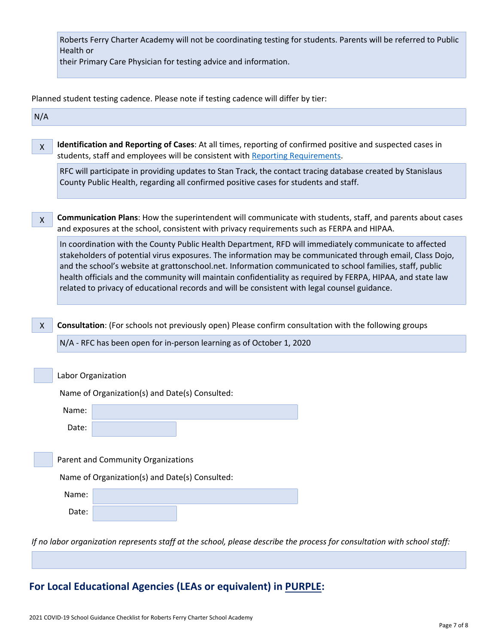| Roberts Ferry Charter Academy will not be coordinating testing for students. Parents will be referred to Public |  |
|-----------------------------------------------------------------------------------------------------------------|--|
| Health or                                                                                                       |  |

their Primary Care Physician for testing advice and information.

Planned student testing cadence. Please note if testing cadence will differ by tier:

| N/A          |                                                                                                                                                                                                                                                                                                                                                                                                                                                                                                                                                  |  |  |  |  |
|--------------|--------------------------------------------------------------------------------------------------------------------------------------------------------------------------------------------------------------------------------------------------------------------------------------------------------------------------------------------------------------------------------------------------------------------------------------------------------------------------------------------------------------------------------------------------|--|--|--|--|
| $\mathsf{X}$ | Identification and Reporting of Cases: At all times, reporting of confirmed positive and suspected cases in<br>students, staff and employees will be consistent with Reporting Requirements.                                                                                                                                                                                                                                                                                                                                                     |  |  |  |  |
|              | RFC will participate in providing updates to Stan Track, the contact tracing database created by Stanislaus<br>County Public Health, regarding all confirmed positive cases for students and staff.                                                                                                                                                                                                                                                                                                                                              |  |  |  |  |
| $\mathsf{X}$ | Communication Plans: How the superintendent will communicate with students, staff, and parents about cases<br>and exposures at the school, consistent with privacy requirements such as FERPA and HIPAA.                                                                                                                                                                                                                                                                                                                                         |  |  |  |  |
|              | In coordination with the County Public Health Department, RFD will immediately communicate to affected<br>stakeholders of potential virus exposures. The information may be communicated through email, Class Dojo,<br>and the school's website at grattonschool.net. Information communicated to school families, staff, public<br>health officials and the community will maintain confidentiality as required by FERPA, HIPAA, and state law<br>related to privacy of educational records and will be consistent with legal counsel guidance. |  |  |  |  |
| X            | Consultation: (For schools not previously open) Please confirm consultation with the following groups<br>N/A - RFC has been open for in-person learning as of October 1, 2020                                                                                                                                                                                                                                                                                                                                                                    |  |  |  |  |
|              | Labor Organization                                                                                                                                                                                                                                                                                                                                                                                                                                                                                                                               |  |  |  |  |
|              | Name of Organization(s) and Date(s) Consulted:                                                                                                                                                                                                                                                                                                                                                                                                                                                                                                   |  |  |  |  |
|              | Name:                                                                                                                                                                                                                                                                                                                                                                                                                                                                                                                                            |  |  |  |  |
|              | Date:                                                                                                                                                                                                                                                                                                                                                                                                                                                                                                                                            |  |  |  |  |
|              |                                                                                                                                                                                                                                                                                                                                                                                                                                                                                                                                                  |  |  |  |  |
|              | Parent and Community Organizations                                                                                                                                                                                                                                                                                                                                                                                                                                                                                                               |  |  |  |  |
|              | Name of Organization(s) and Date(s) Consulted:                                                                                                                                                                                                                                                                                                                                                                                                                                                                                                   |  |  |  |  |
|              | Name:                                                                                                                                                                                                                                                                                                                                                                                                                                                                                                                                            |  |  |  |  |
|              | Date:                                                                                                                                                                                                                                                                                                                                                                                                                                                                                                                                            |  |  |  |  |
|              | If no labor organization represents staff at the school, please describe the process for consultation with school staff:                                                                                                                                                                                                                                                                                                                                                                                                                         |  |  |  |  |

# **For Local Educational Agencies (LEAs or equivalent) in PURPLE:**